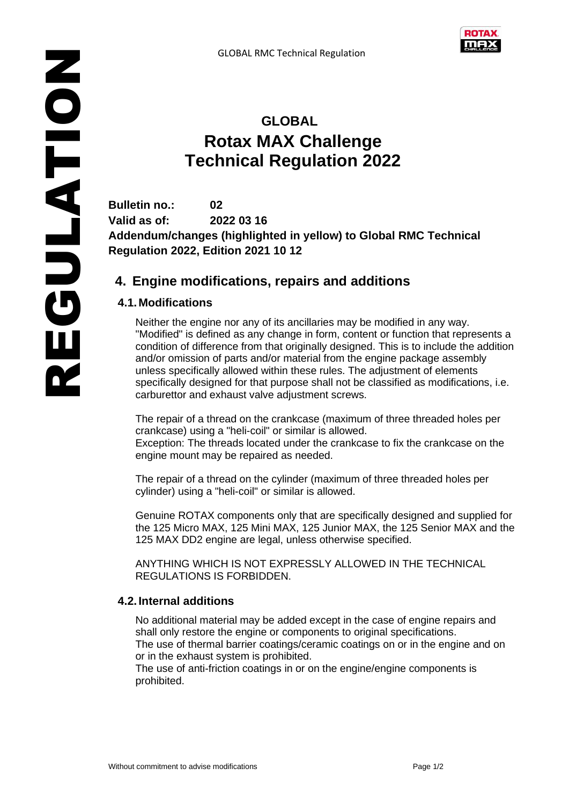

# **GLOBAL Rotax MAX Challenge Technical Regulation 2022**

**Bulletin no.: 02 Valid as of: 2022 03 16 Addendum/changes (highlighted in yellow) to Global RMC Technical Regulation 2022, Edition 2021 10 12**

## **4. Engine modifications, repairs and additions**

## **4.1.Modifications**

Neither the engine nor any of its ancillaries may be modified in any way. "Modified" is defined as any change in form, content or function that represents a condition of difference from that originally designed. This is to include the addition and/or omission of parts and/or material from the engine package assembly unless specifically allowed within these rules. The adjustment of elements specifically designed for that purpose shall not be classified as modifications, i.e. carburettor and exhaust valve adjustment screws.

The repair of a thread on the crankcase (maximum of three threaded holes per crankcase) using a "heli-coil" or similar is allowed.

Exception: The threads located under the crankcase to fix the crankcase on the engine mount may be repaired as needed.

The repair of a thread on the cylinder (maximum of three threaded holes per cylinder) using a "heli-coil" or similar is allowed.

Genuine ROTAX components only that are specifically designed and supplied for the 125 Micro MAX, 125 Mini MAX, 125 Junior MAX, the 125 Senior MAX and the 125 MAX DD2 engine are legal, unless otherwise specified.

ANYTHING WHICH IS NOT EXPRESSLY ALLOWED IN THE TECHNICAL REGULATIONS IS FORBIDDEN.

### **4.2.Internal additions**

No additional material may be added except in the case of engine repairs and shall only restore the engine or components to original specifications. The use of thermal barrier coatings/ceramic coatings on or in the engine and on

or in the exhaust system is prohibited. The use of anti-friction coatings in or on the engine/engine components is prohibited.